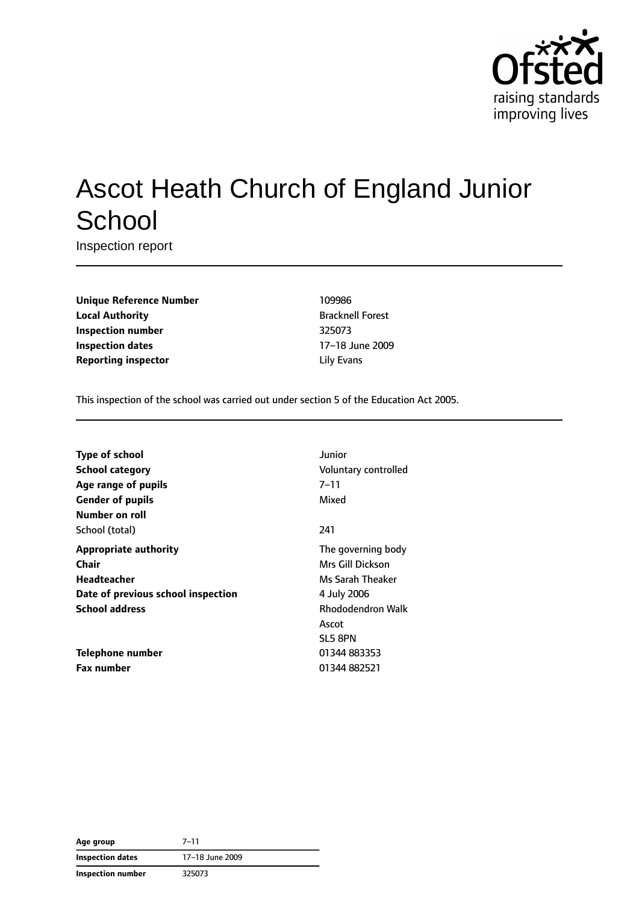

# Ascot Heath Church of England Junior **School**

Inspection report

**Unique Reference Number** 109986 **Local Authority Bracknell Forest Inspection number** 325073 **Inspection dates** 17–18 June 2009 **Reporting inspector and a linear Equation** Elity Evans

This inspection of the school was carried out under section 5 of the Education Act 2005.

| <b>Type of school</b>              | Junior                   |
|------------------------------------|--------------------------|
| School category                    | Voluntary controlled     |
| Age range of pupils                | $7 - 11$                 |
| <b>Gender of pupils</b>            | Mixed                    |
| Number on roll                     |                          |
| School (total)                     | 241                      |
| <b>Appropriate authority</b>       | The governing body       |
| Chair                              | Mrs Gill Dickson         |
| Headteacher                        | Ms Sarah Theaker         |
| Date of previous school inspection | 4 July 2006              |
| <b>School address</b>              | <b>Rhododendron Walk</b> |
|                                    | Ascot                    |
|                                    | SL5 8PN                  |
| Telephone number                   | 01344 883353             |
| <b>Fax number</b>                  | 01344 882521             |
|                                    |                          |

**Age group** 7–11 **Inspection dates** 17–18 June 2009 **Inspection number** 325073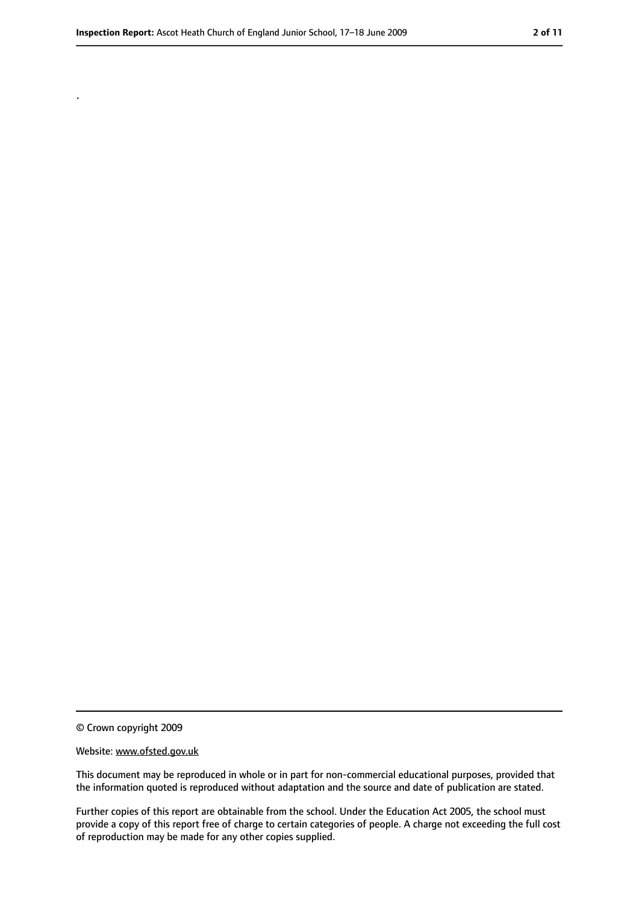.

<sup>©</sup> Crown copyright 2009

Website: www.ofsted.gov.uk

This document may be reproduced in whole or in part for non-commercial educational purposes, provided that the information quoted is reproduced without adaptation and the source and date of publication are stated.

Further copies of this report are obtainable from the school. Under the Education Act 2005, the school must provide a copy of this report free of charge to certain categories of people. A charge not exceeding the full cost of reproduction may be made for any other copies supplied.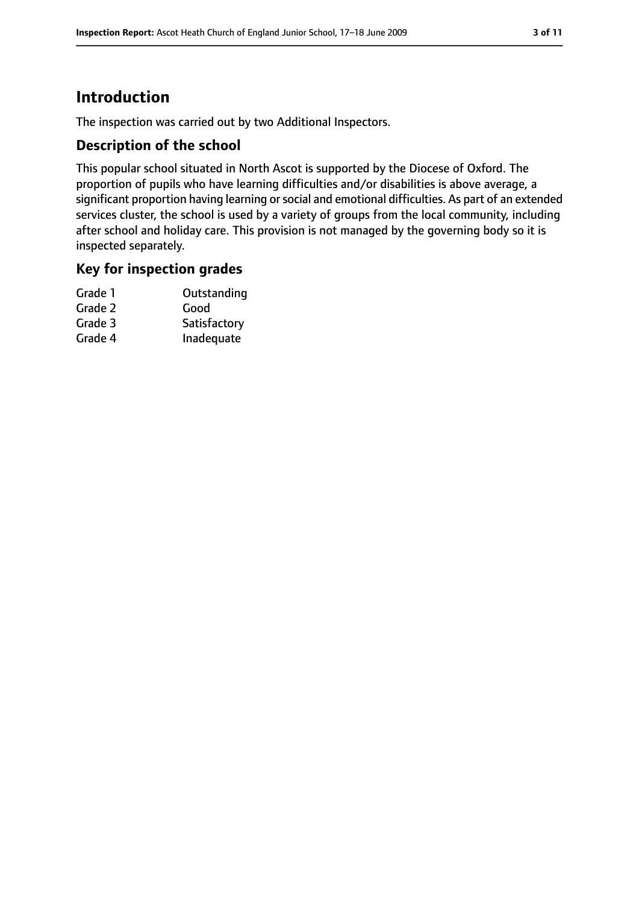# **Introduction**

The inspection was carried out by two Additional Inspectors.

### **Description of the school**

This popular school situated in North Ascot is supported by the Diocese of Oxford. The proportion of pupils who have learning difficulties and/or disabilities is above average, a significant proportion having learning or social and emotional difficulties. As part of an extended services cluster, the school is used by a variety of groups from the local community, including after school and holiday care. This provision is not managed by the governing body so it is inspected separately.

### **Key for inspection grades**

| Grade 1 | Outstanding  |
|---------|--------------|
| Grade 2 | Good         |
| Grade 3 | Satisfactory |
| Grade 4 | Inadequate   |
|         |              |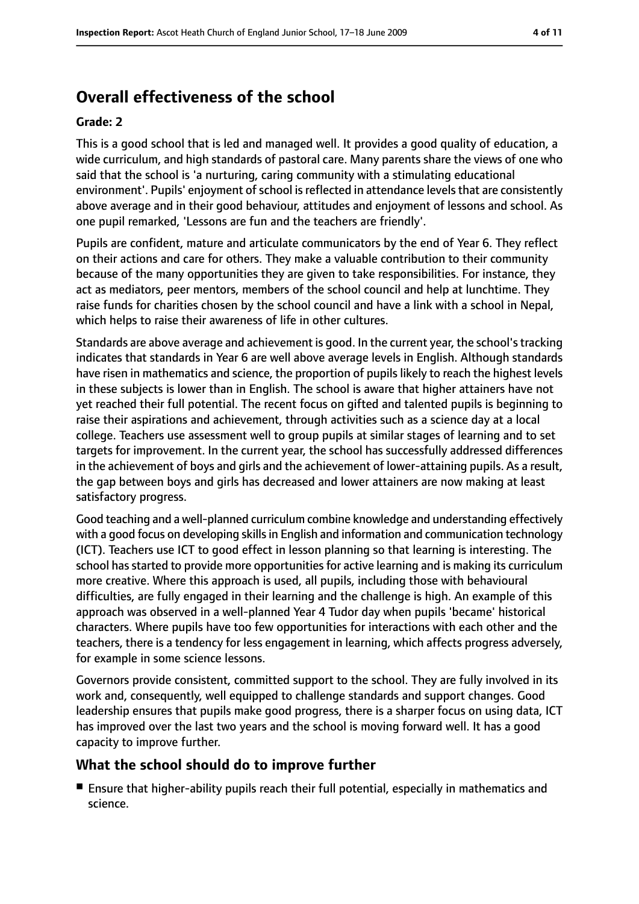# **Overall effectiveness of the school**

#### **Grade: 2**

This is a good school that is led and managed well. It provides a good quality of education, a wide curriculum, and high standards of pastoral care. Many parents share the views of one who said that the school is 'a nurturing, caring community with a stimulating educational environment'. Pupils' enjoyment of school is reflected in attendance levels that are consistently above average and in their good behaviour, attitudes and enjoyment of lessons and school. As one pupil remarked, 'Lessons are fun and the teachers are friendly'.

Pupils are confident, mature and articulate communicators by the end of Year 6. They reflect on their actions and care for others. They make a valuable contribution to their community because of the many opportunities they are given to take responsibilities. For instance, they act as mediators, peer mentors, members of the school council and help at lunchtime. They raise funds for charities chosen by the school council and have a link with a school in Nepal, which helps to raise their awareness of life in other cultures.

Standards are above average and achievement is good. In the current year, the school'stracking indicates that standards in Year 6 are well above average levels in English. Although standards have risen in mathematics and science, the proportion of pupils likely to reach the highest levels in these subjects is lower than in English. The school is aware that higher attainers have not yet reached their full potential. The recent focus on gifted and talented pupils is beginning to raise their aspirations and achievement, through activities such as a science day at a local college. Teachers use assessment well to group pupils at similar stages of learning and to set targets for improvement. In the current year, the school has successfully addressed differences in the achievement of boys and girls and the achievement of lower-attaining pupils. As a result, the gap between boys and girls has decreased and lower attainers are now making at least satisfactory progress.

Good teaching and a well-planned curriculum combine knowledge and understanding effectively with a good focus on developing skills in English and information and communication technology (ICT). Teachers use ICT to good effect in lesson planning so that learning is interesting. The school has started to provide more opportunities for active learning and is making its curriculum more creative. Where this approach is used, all pupils, including those with behavioural difficulties, are fully engaged in their learning and the challenge is high. An example of this approach was observed in a well-planned Year 4 Tudor day when pupils 'became' historical characters. Where pupils have too few opportunities for interactions with each other and the teachers, there is a tendency for less engagement in learning, which affects progress adversely, for example in some science lessons.

Governors provide consistent, committed support to the school. They are fully involved in its work and, consequently, well equipped to challenge standards and support changes. Good leadership ensures that pupils make good progress, there is a sharper focus on using data, ICT has improved over the last two years and the school is moving forward well. It has a good capacity to improve further.

### **What the school should do to improve further**

■ Ensure that higher-ability pupils reach their full potential, especially in mathematics and science.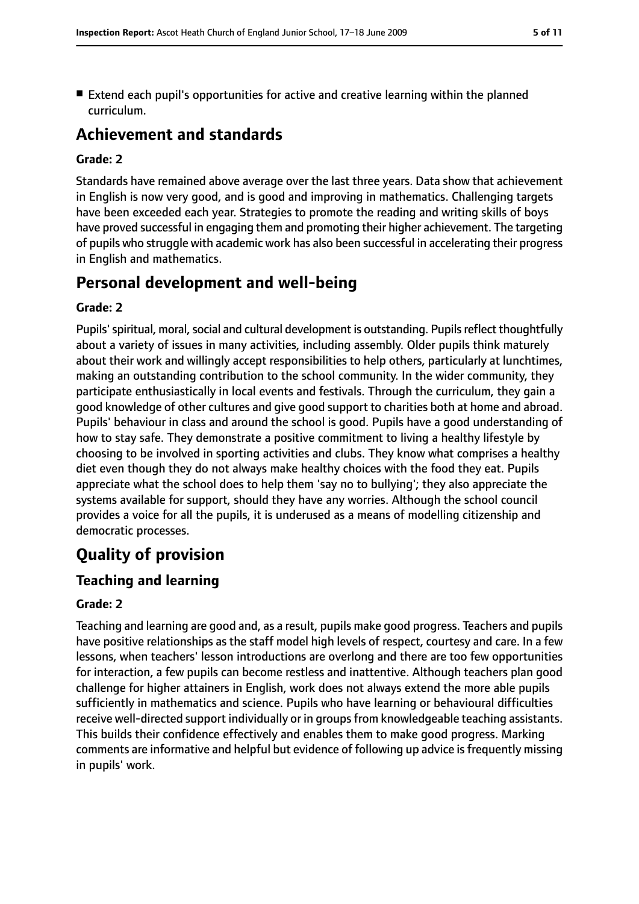■ Extend each pupil's opportunities for active and creative learning within the planned curriculum.

# **Achievement and standards**

#### **Grade: 2**

Standards have remained above average over the last three years. Data show that achievement in English is now very good, and is good and improving in mathematics. Challenging targets have been exceeded each year. Strategies to promote the reading and writing skills of boys have proved successful in engaging them and promoting their higher achievement. The targeting of pupils who struggle with academic work has also been successful in accelerating their progress in English and mathematics.

# **Personal development and well-being**

#### **Grade: 2**

Pupils' spiritual, moral, social and cultural development is outstanding. Pupils reflect thoughtfully about a variety of issues in many activities, including assembly. Older pupils think maturely about their work and willingly accept responsibilities to help others, particularly at lunchtimes, making an outstanding contribution to the school community. In the wider community, they participate enthusiastically in local events and festivals. Through the curriculum, they gain a good knowledge of other cultures and give good support to charities both at home and abroad. Pupils' behaviour in class and around the school is good. Pupils have a good understanding of how to stay safe. They demonstrate a positive commitment to living a healthy lifestyle by choosing to be involved in sporting activities and clubs. They know what comprises a healthy diet even though they do not always make healthy choices with the food they eat. Pupils appreciate what the school does to help them 'say no to bullying'; they also appreciate the systems available for support, should they have any worries. Although the school council provides a voice for all the pupils, it is underused as a means of modelling citizenship and democratic processes.

# **Quality of provision**

## **Teaching and learning**

#### **Grade: 2**

Teaching and learning are good and, as a result, pupils make good progress. Teachers and pupils have positive relationships as the staff model high levels of respect, courtesy and care. In a few lessons, when teachers' lesson introductions are overlong and there are too few opportunities for interaction, a few pupils can become restless and inattentive. Although teachers plan good challenge for higher attainers in English, work does not always extend the more able pupils sufficiently in mathematics and science. Pupils who have learning or behavioural difficulties receive well-directed support individually or in groups from knowledgeable teaching assistants. This builds their confidence effectively and enables them to make good progress. Marking comments are informative and helpful but evidence of following up advice is frequently missing in pupils' work.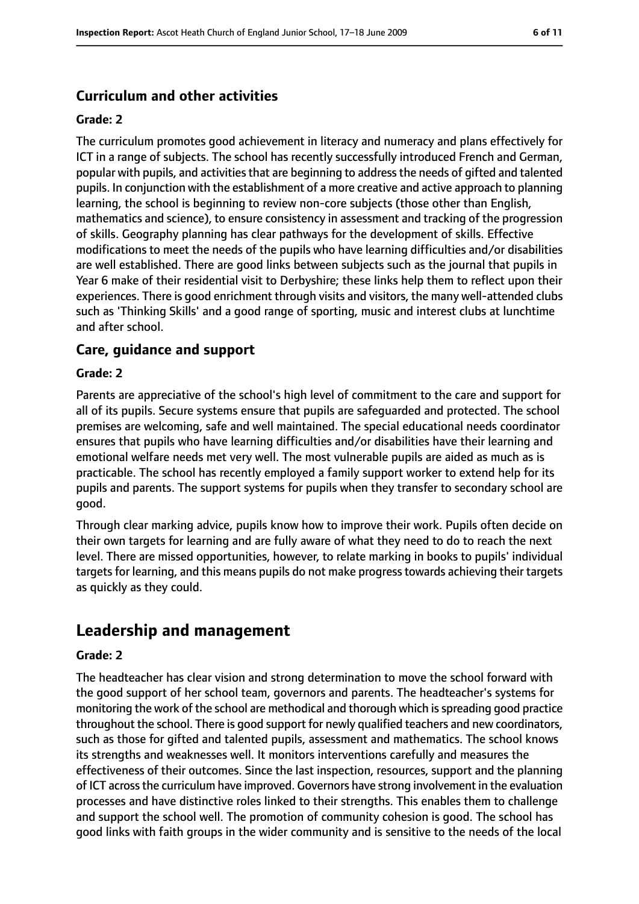## **Curriculum and other activities**

#### **Grade: 2**

The curriculum promotes good achievement in literacy and numeracy and plans effectively for ICT in a range of subjects. The school has recently successfully introduced French and German, popular with pupils, and activities that are beginning to address the needs of gifted and talented pupils. In conjunction with the establishment of a more creative and active approach to planning learning, the school is beginning to review non-core subjects (those other than English, mathematics and science), to ensure consistency in assessment and tracking of the progression of skills. Geography planning has clear pathways for the development of skills. Effective modifications to meet the needs of the pupils who have learning difficulties and/or disabilities are well established. There are good links between subjects such as the journal that pupils in Year 6 make of their residential visit to Derbyshire; these links help them to reflect upon their experiences. There is good enrichment through visits and visitors, the many well-attended clubs such as 'Thinking Skills' and a good range of sporting, music and interest clubs at lunchtime and after school.

### **Care, guidance and support**

#### **Grade: 2**

Parents are appreciative of the school's high level of commitment to the care and support for all of its pupils. Secure systems ensure that pupils are safeguarded and protected. The school premises are welcoming, safe and well maintained. The special educational needs coordinator ensures that pupils who have learning difficulties and/or disabilities have their learning and emotional welfare needs met very well. The most vulnerable pupils are aided as much as is practicable. The school has recently employed a family support worker to extend help for its pupils and parents. The support systems for pupils when they transfer to secondary school are good.

Through clear marking advice, pupils know how to improve their work. Pupils often decide on their own targets for learning and are fully aware of what they need to do to reach the next level. There are missed opportunities, however, to relate marking in books to pupils' individual targets for learning, and this means pupils do not make progress towards achieving their targets as quickly as they could.

# **Leadership and management**

#### **Grade: 2**

The headteacher has clear vision and strong determination to move the school forward with the good support of her school team, governors and parents. The headteacher's systems for monitoring the work of the school are methodical and thorough which isspreading good practice throughout the school. There is good support for newly qualified teachers and new coordinators, such as those for gifted and talented pupils, assessment and mathematics. The school knows its strengths and weaknesses well. It monitors interventions carefully and measures the effectiveness of their outcomes. Since the last inspection, resources, support and the planning of ICT acrossthe curriculum have improved. Governors have strong involvement in the evaluation processes and have distinctive roles linked to their strengths. This enables them to challenge and support the school well. The promotion of community cohesion is good. The school has good links with faith groups in the wider community and is sensitive to the needs of the local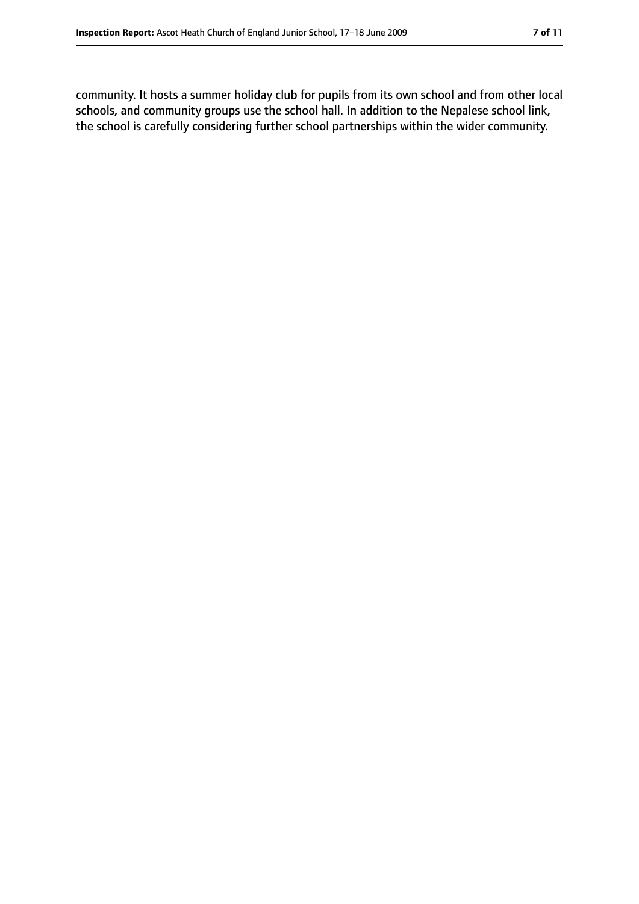community. It hosts a summer holiday club for pupils from its own school and from other local schools, and community groups use the school hall. In addition to the Nepalese school link, the school is carefully considering further school partnerships within the wider community.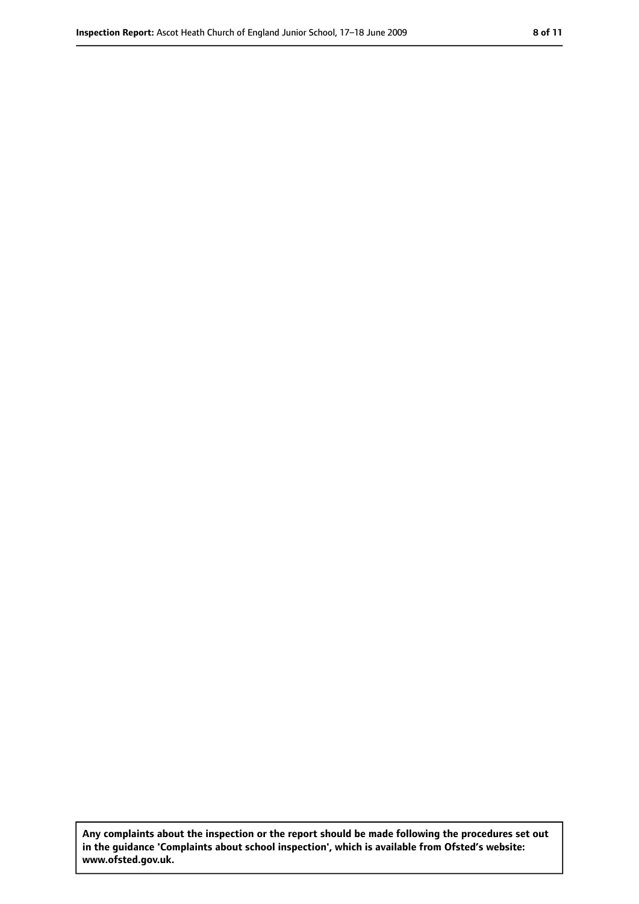**Any complaints about the inspection or the report should be made following the procedures set out in the guidance 'Complaints about school inspection', which is available from Ofsted's website: www.ofsted.gov.uk.**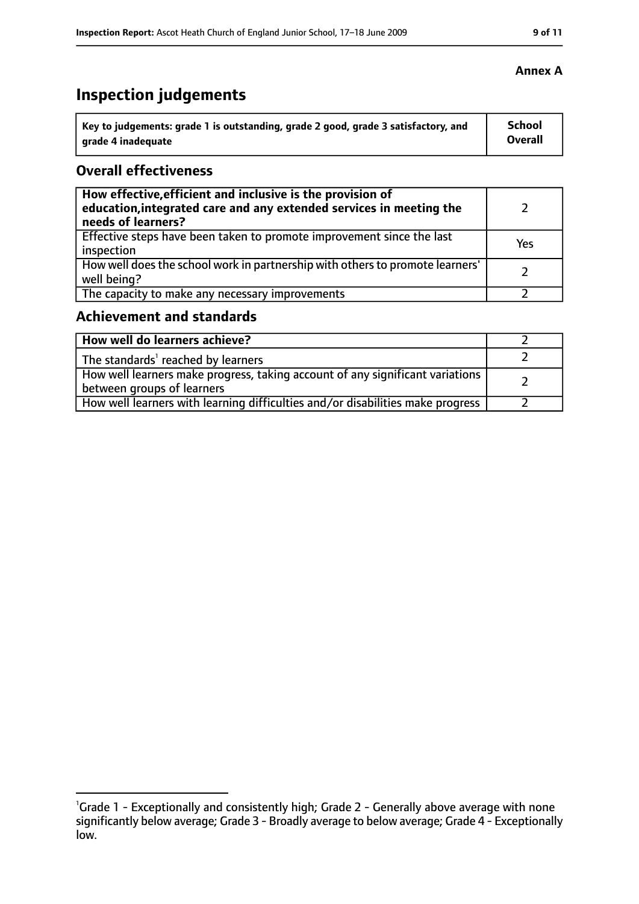# **Inspection judgements**

| Key to judgements: grade 1 is outstanding, grade 2 good, grade 3 satisfactory, and | <b>School</b>  |
|------------------------------------------------------------------------------------|----------------|
| arade 4 inadequate                                                                 | <b>Overall</b> |

### **Overall effectiveness**

| How effective, efficient and inclusive is the provision of<br>education, integrated care and any extended services in meeting the<br>needs of learners? |     |
|---------------------------------------------------------------------------------------------------------------------------------------------------------|-----|
| Effective steps have been taken to promote improvement since the last<br>inspection                                                                     | Yes |
| How well does the school work in partnership with others to promote learners'<br>well being?                                                            |     |
| The capacity to make any necessary improvements                                                                                                         |     |

### **Achievement and standards**

| How well do learners achieve?                                                                                 |  |
|---------------------------------------------------------------------------------------------------------------|--|
| $\vert$ The standards <sup>1</sup> reached by learners                                                        |  |
| How well learners make progress, taking account of any significant variations  <br>between groups of learners |  |
| How well learners with learning difficulties and/or disabilities make progress                                |  |

#### **Annex A**

<sup>&</sup>lt;sup>1</sup>Grade 1 - Exceptionally and consistently high; Grade 2 - Generally above average with none significantly below average; Grade 3 - Broadly average to below average; Grade 4 - Exceptionally low.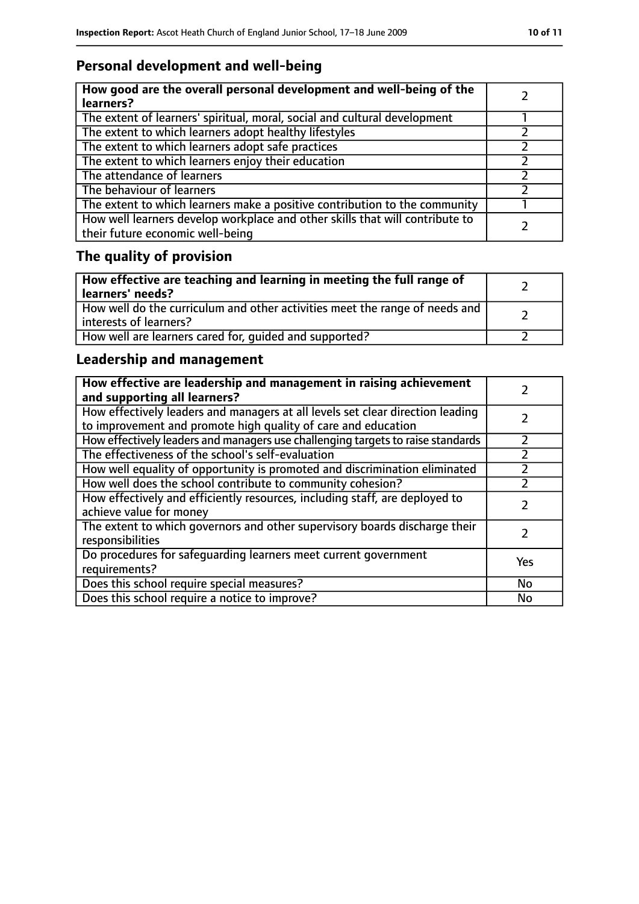# **Personal development and well-being**

| How good are the overall personal development and well-being of the<br>learners?                                 |  |
|------------------------------------------------------------------------------------------------------------------|--|
| The extent of learners' spiritual, moral, social and cultural development                                        |  |
| The extent to which learners adopt healthy lifestyles                                                            |  |
| The extent to which learners adopt safe practices                                                                |  |
| The extent to which learners enjoy their education                                                               |  |
| The attendance of learners                                                                                       |  |
| The behaviour of learners                                                                                        |  |
| The extent to which learners make a positive contribution to the community                                       |  |
| How well learners develop workplace and other skills that will contribute to<br>their future economic well-being |  |

# **The quality of provision**

| How effective are teaching and learning in meeting the full range of<br>learners' needs?              |  |
|-------------------------------------------------------------------------------------------------------|--|
| How well do the curriculum and other activities meet the range of needs and<br>interests of learners? |  |
| How well are learners cared for, quided and supported?                                                |  |

# **Leadership and management**

| How effective are leadership and management in raising achievement<br>and supporting all learners?                                              |     |
|-------------------------------------------------------------------------------------------------------------------------------------------------|-----|
| How effectively leaders and managers at all levels set clear direction leading<br>to improvement and promote high quality of care and education |     |
| How effectively leaders and managers use challenging targets to raise standards                                                                 |     |
| The effectiveness of the school's self-evaluation                                                                                               |     |
| How well equality of opportunity is promoted and discrimination eliminated                                                                      |     |
| How well does the school contribute to community cohesion?                                                                                      |     |
| How effectively and efficiently resources, including staff, are deployed to<br>achieve value for money                                          |     |
| The extent to which governors and other supervisory boards discharge their<br>responsibilities                                                  |     |
| Do procedures for safequarding learners meet current government<br>requirements?                                                                | Yes |
| Does this school require special measures?                                                                                                      | No  |
| Does this school require a notice to improve?                                                                                                   | No  |